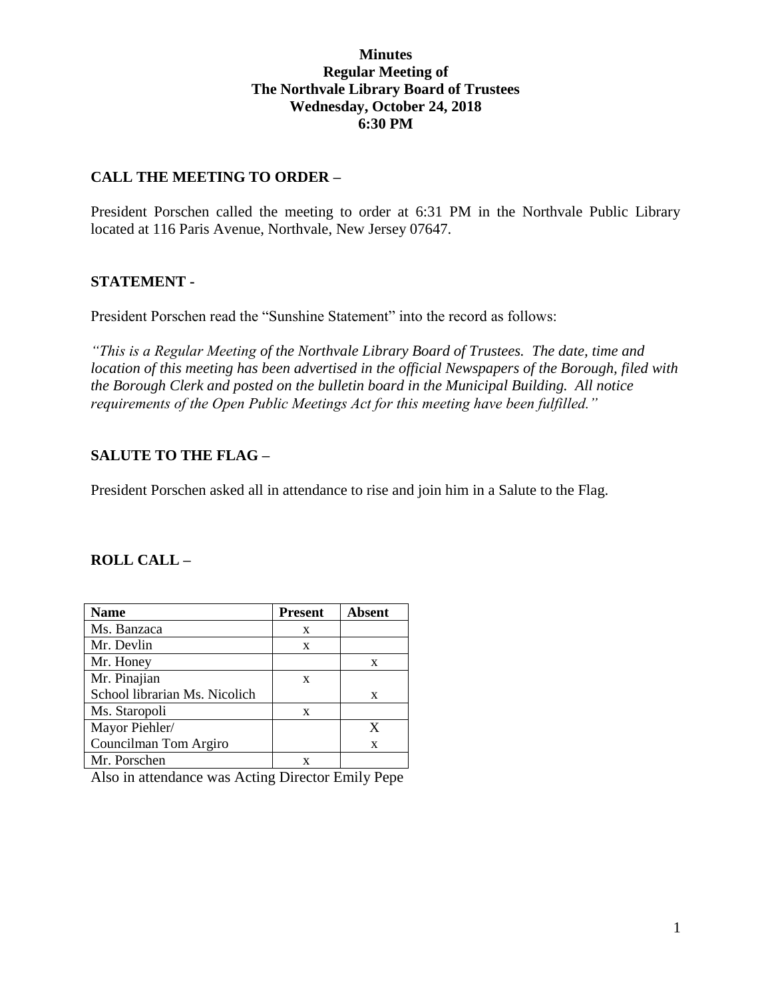#### **Minutes Regular Meeting of The Northvale Library Board of Trustees Wednesday, October 24, 2018 6:30 PM**

## **CALL THE MEETING TO ORDER –**

President Porschen called the meeting to order at 6:31 PM in the Northvale Public Library located at 116 Paris Avenue, Northvale, New Jersey 07647.

## **STATEMENT -**

President Porschen read the "Sunshine Statement" into the record as follows:

*"This is a Regular Meeting of the Northvale Library Board of Trustees. The date, time and location of this meeting has been advertised in the official Newspapers of the Borough, filed with the Borough Clerk and posted on the bulletin board in the Municipal Building. All notice requirements of the Open Public Meetings Act for this meeting have been fulfilled."* 

# **SALUTE TO THE FLAG –**

President Porschen asked all in attendance to rise and join him in a Salute to the Flag.

## **ROLL CALL –**

| <b>Name</b>                   | <b>Present</b> | Absent |
|-------------------------------|----------------|--------|
| Ms. Banzaca                   | X              |        |
| Mr. Devlin                    | X              |        |
| Mr. Honey                     |                | X      |
| Mr. Pinajian                  | X              |        |
| School librarian Ms. Nicolich |                | X      |
| Ms. Staropoli                 | X              |        |
| Mayor Piehler/                |                | X      |
| Councilman Tom Argiro         |                | X      |
| Mr. Porschen                  |                |        |

Also in attendance was Acting Director Emily Pepe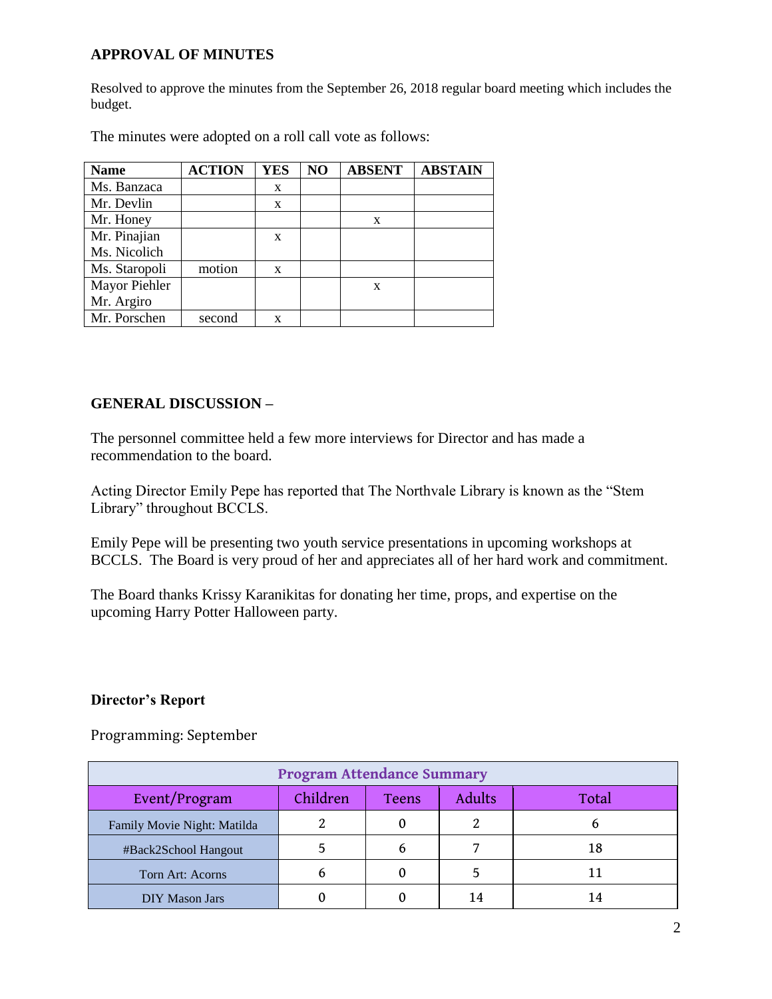## **APPROVAL OF MINUTES**

Resolved to approve the minutes from the September 26, 2018 regular board meeting which includes the budget.

| <b>Name</b>   | <b>ACTION</b> | <b>YES</b>   | NO | <b>ABSENT</b> | <b>ABSTAIN</b> |
|---------------|---------------|--------------|----|---------------|----------------|
| Ms. Banzaca   |               | X            |    |               |                |
| Mr. Devlin    |               | $\mathbf{x}$ |    |               |                |
| Mr. Honey     |               |              |    | X             |                |
| Mr. Pinajian  |               | X            |    |               |                |
| Ms. Nicolich  |               |              |    |               |                |
| Ms. Staropoli | motion        | X            |    |               |                |
| Mayor Piehler |               |              |    | X             |                |
| Mr. Argiro    |               |              |    |               |                |
| Mr. Porschen  | second        | X            |    |               |                |

The minutes were adopted on a roll call vote as follows:

## **GENERAL DISCUSSION –**

The personnel committee held a few more interviews for Director and has made a recommendation to the board.

Acting Director Emily Pepe has reported that The Northvale Library is known as the "Stem Library" throughout BCCLS.

Emily Pepe will be presenting two youth service presentations in upcoming workshops at BCCLS. The Board is very proud of her and appreciates all of her hard work and commitment.

The Board thanks Krissy Karanikitas for donating her time, props, and expertise on the upcoming Harry Potter Halloween party.

#### **Director's Report**

Programming: September

| <b>Program Attendance Summary</b> |          |              |        |       |  |  |
|-----------------------------------|----------|--------------|--------|-------|--|--|
| Event/Program                     | Children | <b>Teens</b> | Adults | Total |  |  |
| Family Movie Night: Matilda       |          |              |        |       |  |  |
| #Back2School Hangout              |          |              |        | 18    |  |  |
| Torn Art: Acorns                  |          |              |        | 11    |  |  |
| <b>DIY Mason Jars</b>             |          |              |        | 14    |  |  |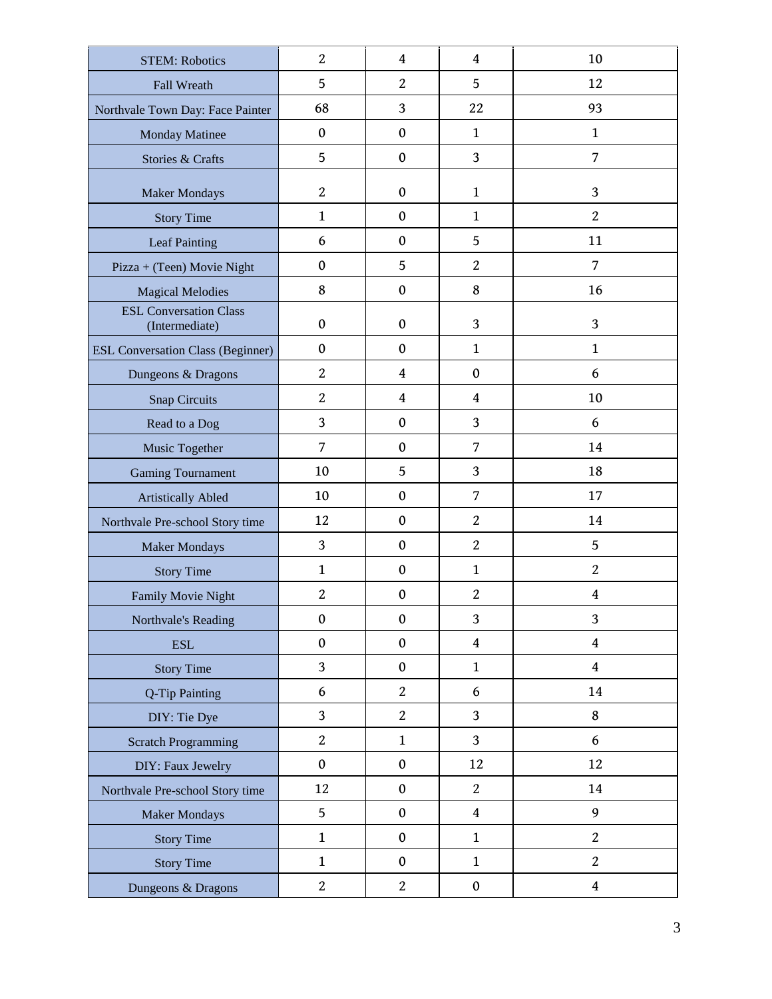| <b>STEM: Robotics</b>                           | $\overline{2}$   | $\overline{4}$   | $\overline{4}$   | 10                      |
|-------------------------------------------------|------------------|------------------|------------------|-------------------------|
| Fall Wreath                                     | 5                | $\overline{2}$   | 5                | 12                      |
| Northvale Town Day: Face Painter                | 68               | 3                | 22               | 93                      |
| <b>Monday Matinee</b>                           | $\boldsymbol{0}$ | $\mathbf{0}$     | $\mathbf{1}$     | $\mathbf{1}$            |
| Stories & Crafts                                | 5                | $\mathbf{0}$     | 3                | 7                       |
| <b>Maker Mondays</b>                            | $\overline{2}$   | $\mathbf{0}$     | $\mathbf{1}$     | 3                       |
| <b>Story Time</b>                               | $\mathbf{1}$     | $\mathbf{0}$     | $\mathbf{1}$     | $\overline{2}$          |
| Leaf Painting                                   | 6                | $\boldsymbol{0}$ | 5                | 11                      |
| Pizza + (Teen) Movie Night                      | $\boldsymbol{0}$ | 5                | $\overline{c}$   | 7                       |
| <b>Magical Melodies</b>                         | 8                | $\mathbf{0}$     | 8                | 16                      |
| <b>ESL Conversation Class</b><br>(Intermediate) | $\boldsymbol{0}$ | $\mathbf{0}$     | 3                | 3                       |
| <b>ESL Conversation Class (Beginner)</b>        | $\boldsymbol{0}$ | $\mathbf{0}$     | $\mathbf{1}$     | $\mathbf{1}$            |
| Dungeons & Dragons                              | $\overline{2}$   | $\overline{4}$   | $\boldsymbol{0}$ | 6                       |
| <b>Snap Circuits</b>                            | $\overline{2}$   | $\overline{4}$   | $\overline{4}$   | 10                      |
| Read to a Dog                                   | 3                | $\mathbf{0}$     | 3                | 6                       |
| Music Together                                  | 7                | $\mathbf{0}$     | 7                | 14                      |
| <b>Gaming Tournament</b>                        | 10               | 5                | 3                | 18                      |
| <b>Artistically Abled</b>                       | 10               | $\mathbf{0}$     | 7                | 17                      |
| Northvale Pre-school Story time                 | 12               | $\mathbf{0}$     | $\overline{2}$   | 14                      |
| <b>Maker Mondays</b>                            | 3                | $\mathbf{0}$     | $\overline{2}$   | 5                       |
| <b>Story Time</b>                               | $\mathbf{1}$     | $\boldsymbol{0}$ | $\mathbf{1}$     | $\overline{c}$          |
| Family Movie Night                              | $\overline{2}$   | $\mathbf{0}$     | $\overline{2}$   | 4                       |
| Northvale's Reading                             | $\boldsymbol{0}$ | $\boldsymbol{0}$ | 3                | 3                       |
| <b>ESL</b>                                      | $\boldsymbol{0}$ | $\mathbf 0$      | $\overline{4}$   | $\overline{4}$          |
| <b>Story Time</b>                               | $\overline{3}$   | $\mathbf{0}$     | $\mathbf{1}$     | $\overline{4}$          |
| Q-Tip Painting                                  | 6                | $\overline{2}$   | 6                | 14                      |
| DIY: Tie Dye                                    | 3                | $\overline{2}$   | 3                | 8                       |
| <b>Scratch Programming</b>                      | $\overline{c}$   | $\mathbf{1}$     | $\overline{3}$   | 6                       |
| DIY: Faux Jewelry                               | $\boldsymbol{0}$ | $\mathbf 0$      | 12               | 12                      |
| Northvale Pre-school Story time                 | 12               | $\mathbf{0}$     | $\overline{2}$   | 14                      |
| <b>Maker Mondays</b>                            | 5                | $\mathbf{0}$     | $\overline{4}$   | 9                       |
| <b>Story Time</b>                               | $\mathbf{1}$     | $\mathbf 0$      | $\mathbf{1}$     | $\overline{2}$          |
| <b>Story Time</b>                               | $\mathbf{1}$     | $\mathbf{0}$     | $\mathbf{1}$     | $\overline{2}$          |
| Dungeons & Dragons                              | $\boldsymbol{2}$ | $\boldsymbol{2}$ | $\pmb{0}$        | $\overline{\mathbf{4}}$ |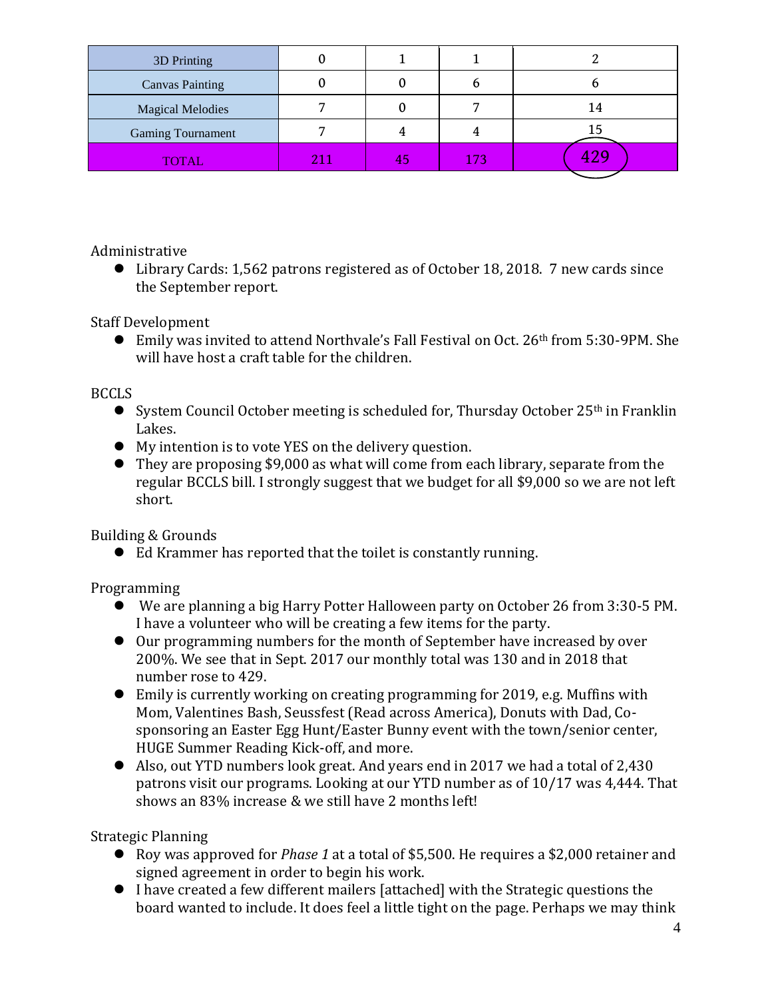| 3D Printing              |     |    |     |     |
|--------------------------|-----|----|-----|-----|
| <b>Canvas Painting</b>   |     |    |     |     |
| <b>Magical Melodies</b>  |     |    |     | 14  |
| <b>Gaming Tournament</b> |     |    |     | 15  |
| <b>TOTAL</b>             | 211 | 45 | 173 | 429 |

Administrative

 Library Cards: 1,562 patrons registered as of October 18, 2018. 7 new cards since the September report.

Staff Development

 Emily was invited to attend Northvale's Fall Festival on Oct. 26th from 5:30-9PM. She will have host a craft table for the children.

## BCCLS

- System Council October meeting is scheduled for, Thursday October  $25<sup>th</sup>$  in Franklin Lakes.
- My intention is to vote YES on the delivery question.
- They are proposing \$9,000 as what will come from each library, separate from the regular BCCLS bill. I strongly suggest that we budget for all \$9,000 so we are not left short.

Building & Grounds

Ed Krammer has reported that the toilet is constantly running.

Programming

- We are planning a big Harry Potter Halloween party on October 26 from 3:30-5 PM. I have a volunteer who will be creating a few items for the party.
- Our programming numbers for the month of September have increased by over 200%. We see that in Sept. 2017 our monthly total was 130 and in 2018 that number rose to 429.
- Emily is currently working on creating programming for 2019, e.g. Muffins with Mom, Valentines Bash, Seussfest (Read across America), Donuts with Dad, Cosponsoring an Easter Egg Hunt/Easter Bunny event with the town/senior center, HUGE Summer Reading Kick-off, and more.
- Also, out YTD numbers look great. And years end in 2017 we had a total of 2,430 patrons visit our programs. Looking at our YTD number as of 10/17 was 4,444. That shows an 83% increase & we still have 2 months left!

Strategic Planning

- Roy was approved for *Phase 1* at a total of \$5,500. He requires a \$2,000 retainer and signed agreement in order to begin his work.
- I have created a few different mailers [attached] with the Strategic questions the board wanted to include. It does feel a little tight on the page. Perhaps we may think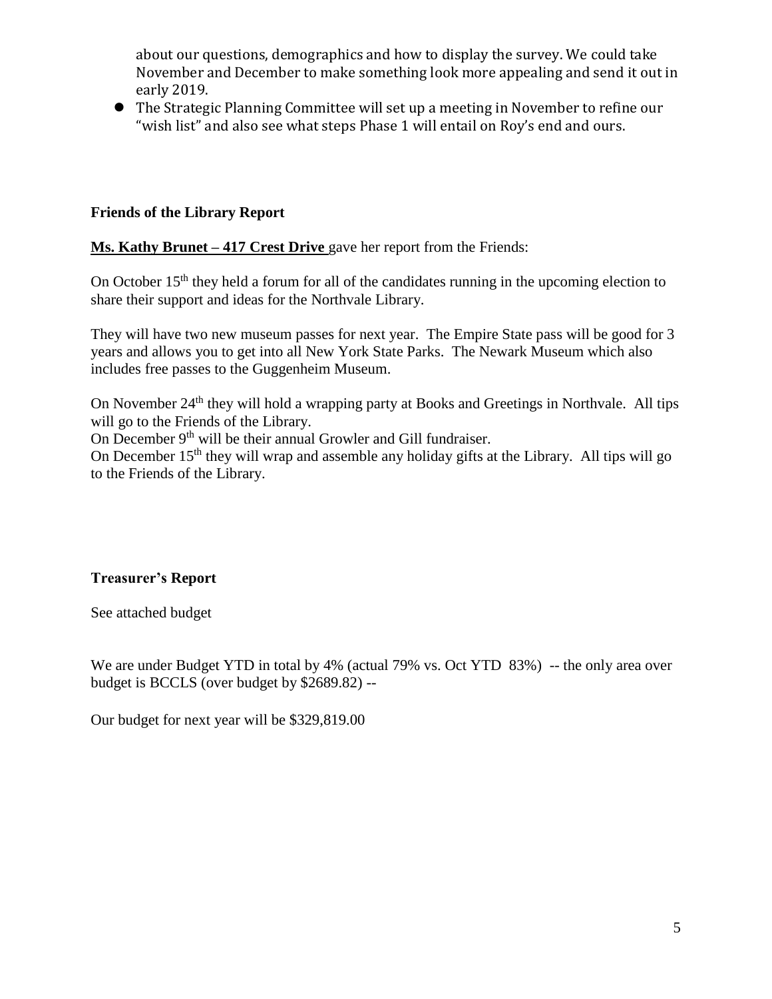about our questions, demographics and how to display the survey. We could take November and December to make something look more appealing and send it out in early 2019.

 The Strategic Planning Committee will set up a meeting in November to refine our "wish list" and also see what steps Phase 1 will entail on Roy's end and ours.

## **Friends of the Library Report**

**Ms. Kathy Brunet – 417 Crest Drive** gave her report from the Friends:

On October 15<sup>th</sup> they held a forum for all of the candidates running in the upcoming election to share their support and ideas for the Northvale Library.

They will have two new museum passes for next year. The Empire State pass will be good for 3 years and allows you to get into all New York State Parks. The Newark Museum which also includes free passes to the Guggenheim Museum.

On November 24<sup>th</sup> they will hold a wrapping party at Books and Greetings in Northvale. All tips will go to the Friends of the Library.

On December 9th will be their annual Growler and Gill fundraiser.

On December  $15<sup>th</sup>$  they will wrap and assemble any holiday gifts at the Library. All tips will go to the Friends of the Library.

# **Treasurer's Report**

See attached budget

We are under Budget YTD in total by 4% (actual 79% vs. Oct YTD 83%) -- the only area over budget is BCCLS (over budget by \$2689.82) --

Our budget for next year will be \$329,819.00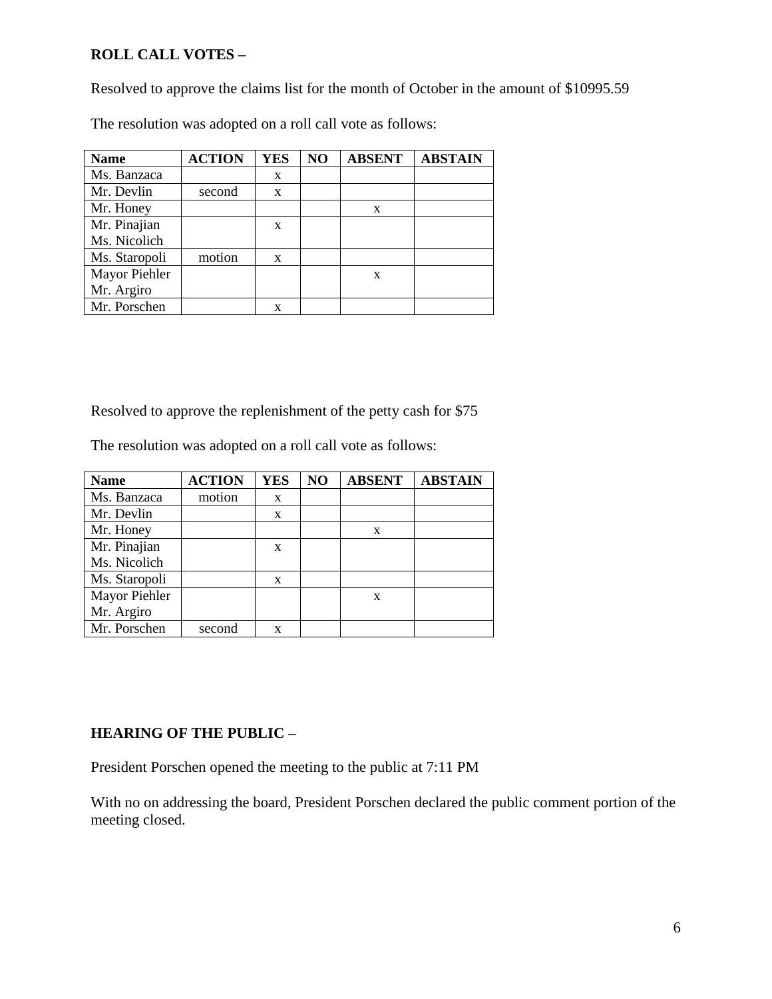## **ROLL CALL VOTES –**

Resolved to approve the claims list for the month of October in the amount of \$10995.59

The resolution was adopted on a roll call vote as follows:

| <b>Name</b>   | <b>ACTION</b> | <b>YES</b> | NO | <b>ABSENT</b> | <b>ABSTAIN</b> |
|---------------|---------------|------------|----|---------------|----------------|
| Ms. Banzaca   |               | X          |    |               |                |
| Mr. Devlin    | second        | X          |    |               |                |
| Mr. Honey     |               |            |    | X             |                |
| Mr. Pinajian  |               | X          |    |               |                |
| Ms. Nicolich  |               |            |    |               |                |
| Ms. Staropoli | motion        | X          |    |               |                |
| Mayor Piehler |               |            |    | $\mathbf x$   |                |
| Mr. Argiro    |               |            |    |               |                |
| Mr. Porschen  |               |            |    |               |                |

Resolved to approve the replenishment of the petty cash for \$75

The resolution was adopted on a roll call vote as follows:

| <b>Name</b>   | <b>ACTION</b> | <b>YES</b> | N <sub>O</sub> | <b>ABSENT</b> | <b>ABSTAIN</b> |
|---------------|---------------|------------|----------------|---------------|----------------|
| Ms. Banzaca   | motion        | X          |                |               |                |
| Mr. Devlin    |               | X          |                |               |                |
| Mr. Honey     |               |            |                | X             |                |
| Mr. Pinajian  |               | X          |                |               |                |
| Ms. Nicolich  |               |            |                |               |                |
| Ms. Staropoli |               | X          |                |               |                |
| Mayor Piehler |               |            |                | $\mathbf x$   |                |
| Mr. Argiro    |               |            |                |               |                |
| Mr. Porschen  | second        | X          |                |               |                |

# **HEARING OF THE PUBLIC –**

President Porschen opened the meeting to the public at 7:11 PM

With no on addressing the board, President Porschen declared the public comment portion of the meeting closed.